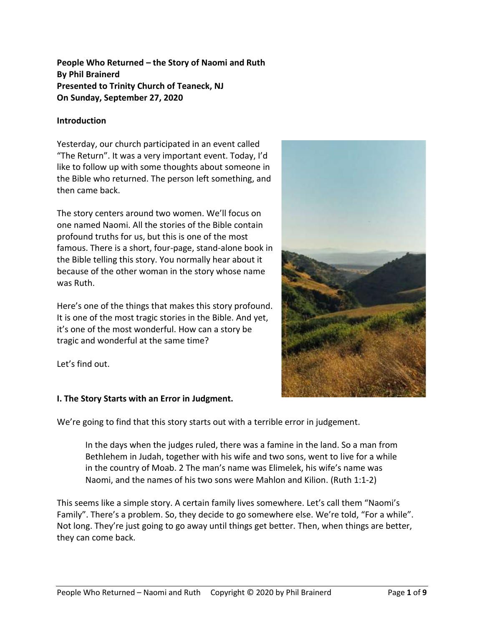**People Who Returned – the Story of Naomi and Ruth By Phil Brainerd Presented to Trinity Church of Teaneck, NJ On Sunday, September 27, 2020**

#### **Introduction**

Yesterday, our church participated in an event called "The Return". It was a very important event. Today, I'd like to follow up with some thoughts about someone in the Bible who returned. The person left something, and then came back.

The story centers around two women. We'll focus on one named Naomi. All the stories of the Bible contain profound truths for us, but this is one of the most famous. There is a short, four-page, stand-alone book in the Bible telling this story. You normally hear about it because of the other woman in the story whose name was Ruth.

Here's one of the things that makes this story profound. It is one of the most tragic stories in the Bible. And yet, it's one of the most wonderful. How can a story be tragic and wonderful at the same time?

Let's find out.



## **I. The Story Starts with an Error in Judgment.**

We're going to find that this story starts out with a terrible error in judgement.

In the days when the judges ruled, there was a famine in the land. So a man from Bethlehem in Judah, together with his wife and two sons, went to live for a while in the country of Moab. 2 The man's name was Elimelek, his wife's name was Naomi, and the names of his two sons were Mahlon and Kilion. (Ruth 1:1-2)

This seems like a simple story. A certain family lives somewhere. Let's call them "Naomi's Family". There's a problem. So, they decide to go somewhere else. We're told, "For a while". Not long. They're just going to go away until things get better. Then, when things are better, they can come back.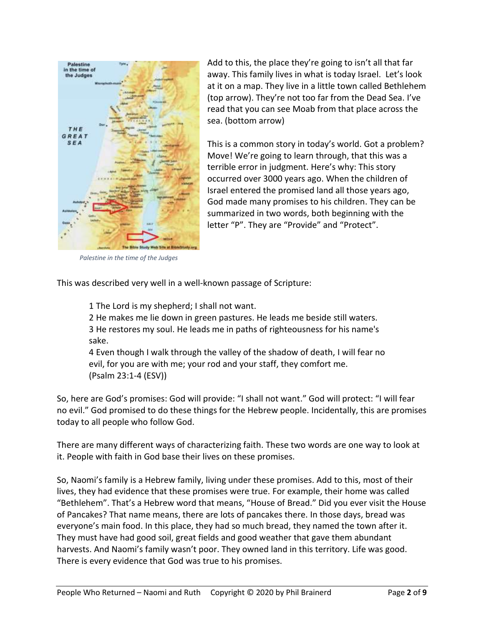

Add to this, the place they're going to isn't all that far away. This family lives in what is today Israel. Let's look at it on a map. They live in a little town called Bethlehem (top arrow). They're not too far from the Dead Sea. I've read that you can see Moab from that place across the sea. (bottom arrow)

This is a common story in today's world. Got a problem? Move! We're going to learn through, that this was a terrible error in judgment. Here's why: This story occurred over 3000 years ago. When the children of Israel entered the promised land all those years ago, God made many promises to his children. They can be summarized in two words, both beginning with the letter "P". They are "Provide" and "Protect".

*Palestine in the time of the Judges*

This was described very well in a well-known passage of Scripture:

1 The Lord is my shepherd; I shall not want.

2 He makes me lie down in green pastures. He leads me beside still waters. 3 He restores my soul. He leads me in paths of righteousness for his name's sake.

4 Even though I walk through the valley of the shadow of death, I will fear no evil, for you are with me; your rod and your staff, they comfort me. (Psalm 23:1-4 (ESV))

So, here are God's promises: God will provide: "I shall not want." God will protect: "I will fear no evil." God promised to do these things for the Hebrew people. Incidentally, this are promises today to all people who follow God.

There are many different ways of characterizing faith. These two words are one way to look at it. People with faith in God base their lives on these promises.

So, Naomi's family is a Hebrew family, living under these promises. Add to this, most of their lives, they had evidence that these promises were true. For example, their home was called "Bethlehem". That's a Hebrew word that means, "House of Bread." Did you ever visit the House of Pancakes? That name means, there are lots of pancakes there. In those days, bread was everyone's main food. In this place, they had so much bread, they named the town after it. They must have had good soil, great fields and good weather that gave them abundant harvests. And Naomi's family wasn't poor. They owned land in this territory. Life was good. There is every evidence that God was true to his promises.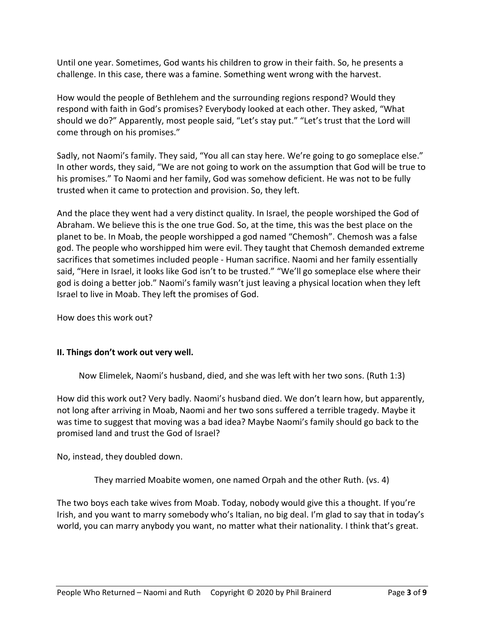Until one year. Sometimes, God wants his children to grow in their faith. So, he presents a challenge. In this case, there was a famine. Something went wrong with the harvest.

How would the people of Bethlehem and the surrounding regions respond? Would they respond with faith in God's promises? Everybody looked at each other. They asked, "What should we do?" Apparently, most people said, "Let's stay put." "Let's trust that the Lord will come through on his promises."

Sadly, not Naomi's family. They said, "You all can stay here. We're going to go someplace else." In other words, they said, "We are not going to work on the assumption that God will be true to his promises." To Naomi and her family, God was somehow deficient. He was not to be fully trusted when it came to protection and provision. So, they left.

And the place they went had a very distinct quality. In Israel, the people worshiped the God of Abraham. We believe this is the one true God. So, at the time, this was the best place on the planet to be. In Moab, the people worshipped a god named "Chemosh". Chemosh was a false god. The people who worshipped him were evil. They taught that Chemosh demanded extreme sacrifices that sometimes included people - Human sacrifice. Naomi and her family essentially said, "Here in Israel, it looks like God isn't to be trusted." "We'll go someplace else where their god is doing a better job." Naomi's family wasn't just leaving a physical location when they left Israel to live in Moab. They left the promises of God.

How does this work out?

## **II. Things don't work out very well.**

Now Elimelek, Naomi's husband, died, and she was left with her two sons. (Ruth 1:3)

How did this work out? Very badly. Naomi's husband died. We don't learn how, but apparently, not long after arriving in Moab, Naomi and her two sons suffered a terrible tragedy. Maybe it was time to suggest that moving was a bad idea? Maybe Naomi's family should go back to the promised land and trust the God of Israel?

No, instead, they doubled down.

They married Moabite women, one named Orpah and the other Ruth. (vs. 4)

The two boys each take wives from Moab. Today, nobody would give this a thought. If you're Irish, and you want to marry somebody who's Italian, no big deal. I'm glad to say that in today's world, you can marry anybody you want, no matter what their nationality. I think that's great.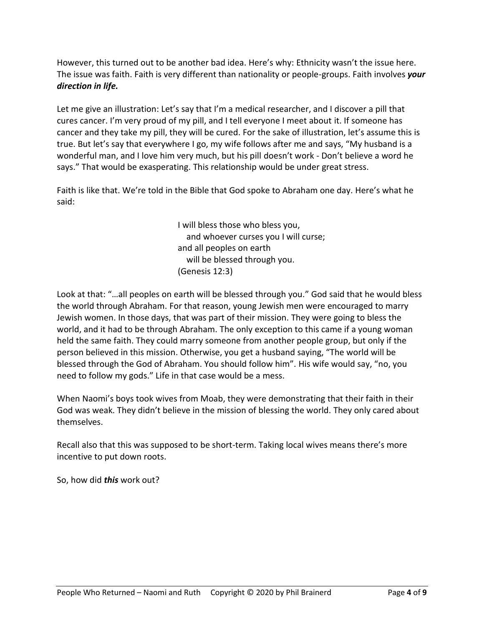However, this turned out to be another bad idea. Here's why: Ethnicity wasn't the issue here. The issue was faith. Faith is very different than nationality or people-groups. Faith involves *your direction in life.*

Let me give an illustration: Let's say that I'm a medical researcher, and I discover a pill that cures cancer. I'm very proud of my pill, and I tell everyone I meet about it. If someone has cancer and they take my pill, they will be cured. For the sake of illustration, let's assume this is true. But let's say that everywhere I go, my wife follows after me and says, "My husband is a wonderful man, and I love him very much, but his pill doesn't work - Don't believe a word he says." That would be exasperating. This relationship would be under great stress.

Faith is like that. We're told in the Bible that God spoke to Abraham one day. Here's what he said:

> I will bless those who bless you, and whoever curses you I will curse; and all peoples on earth will be blessed through you. (Genesis 12:3)

Look at that: "…all peoples on earth will be blessed through you." God said that he would bless the world through Abraham. For that reason, young Jewish men were encouraged to marry Jewish women. In those days, that was part of their mission. They were going to bless the world, and it had to be through Abraham. The only exception to this came if a young woman held the same faith. They could marry someone from another people group, but only if the person believed in this mission. Otherwise, you get a husband saying, "The world will be blessed through the God of Abraham. You should follow him". His wife would say, "no, you need to follow my gods." Life in that case would be a mess.

When Naomi's boys took wives from Moab, they were demonstrating that their faith in their God was weak. They didn't believe in the mission of blessing the world. They only cared about themselves.

Recall also that this was supposed to be short-term. Taking local wives means there's more incentive to put down roots.

So, how did *this* work out?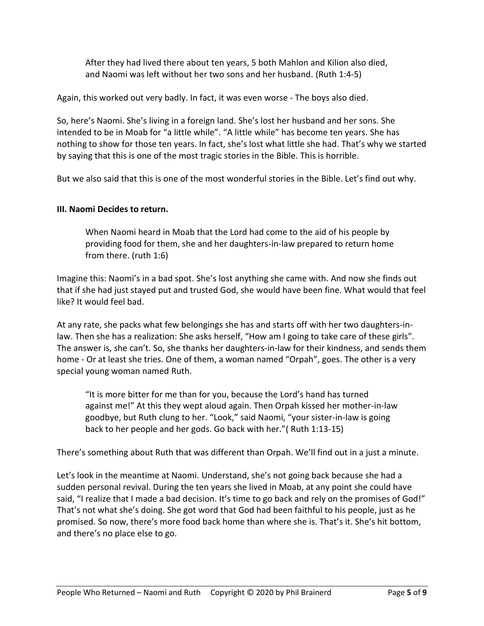After they had lived there about ten years, 5 both Mahlon and Kilion also died, and Naomi was left without her two sons and her husband. (Ruth 1:4-5)

Again, this worked out very badly. In fact, it was even worse - The boys also died.

So, here's Naomi. She's living in a foreign land. She's lost her husband and her sons. She intended to be in Moab for "a little while". "A little while" has become ten years. She has nothing to show for those ten years. In fact, she's lost what little she had. That's why we started by saying that this is one of the most tragic stories in the Bible. This is horrible.

But we also said that this is one of the most wonderful stories in the Bible. Let's find out why.

# **III. Naomi Decides to return.**

When Naomi heard in Moab that the Lord had come to the aid of his people by providing food for them, she and her daughters-in-law prepared to return home from there. (ruth 1:6)

Imagine this: Naomi's in a bad spot. She's lost anything she came with. And now she finds out that if she had just stayed put and trusted God, she would have been fine. What would that feel like? It would feel bad.

At any rate, she packs what few belongings she has and starts off with her two daughters-inlaw. Then she has a realization: She asks herself, "How am I going to take care of these girls". The answer is, she can't. So, she thanks her daughters-in-law for their kindness, and sends them home - Or at least she tries. One of them, a woman named "Orpah", goes. The other is a very special young woman named Ruth.

"It is more bitter for me than for you, because the Lord's hand has turned against me!" At this they wept aloud again. Then Orpah kissed her mother-in-law goodbye, but Ruth clung to her. "Look," said Naomi, "your sister-in-law is going back to her people and her gods. Go back with her."( Ruth 1:13-15)

There's something about Ruth that was different than Orpah. We'll find out in a just a minute.

Let's look in the meantime at Naomi. Understand, she's not going back because she had a sudden personal revival. During the ten years she lived in Moab, at any point she could have said, "I realize that I made a bad decision. It's time to go back and rely on the promises of God!" That's not what she's doing. She got word that God had been faithful to his people, just as he promised. So now, there's more food back home than where she is. That's it. She's hit bottom, and there's no place else to go.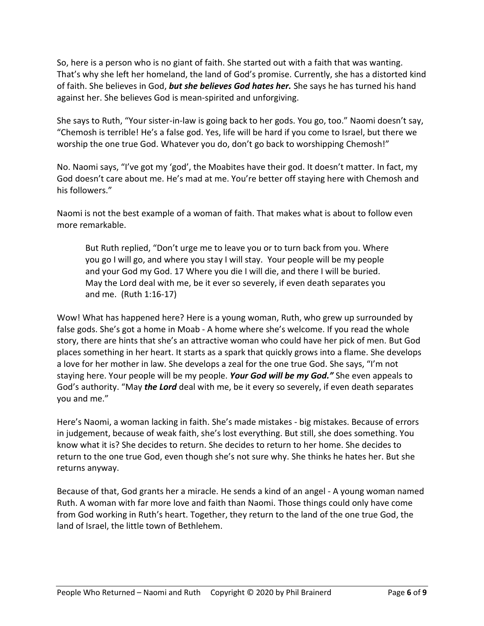So, here is a person who is no giant of faith. She started out with a faith that was wanting. That's why she left her homeland, the land of God's promise. Currently, she has a distorted kind of faith. She believes in God, *but she believes God hates her.* She says he has turned his hand against her. She believes God is mean-spirited and unforgiving.

She says to Ruth, "Your sister-in-law is going back to her gods. You go, too." Naomi doesn't say, "Chemosh is terrible! He's a false god. Yes, life will be hard if you come to Israel, but there we worship the one true God. Whatever you do, don't go back to worshipping Chemosh!"

No. Naomi says, "I've got my 'god', the Moabites have their god. It doesn't matter. In fact, my God doesn't care about me. He's mad at me. You're better off staying here with Chemosh and his followers."

Naomi is not the best example of a woman of faith. That makes what is about to follow even more remarkable.

But Ruth replied, "Don't urge me to leave you or to turn back from you. Where you go I will go, and where you stay I will stay. Your people will be my people and your God my God. 17 Where you die I will die, and there I will be buried. May the Lord deal with me, be it ever so severely, if even death separates you and me. (Ruth 1:16-17)

Wow! What has happened here? Here is a young woman, Ruth, who grew up surrounded by false gods. She's got a home in Moab - A home where she's welcome. If you read the whole story, there are hints that she's an attractive woman who could have her pick of men. But God places something in her heart. It starts as a spark that quickly grows into a flame. She develops a love for her mother in law. She develops a zeal for the one true God. She says, "I'm not staying here. Your people will be my people. *Your God will be my God."* She even appeals to God's authority. "May *the Lord* deal with me, be it every so severely, if even death separates you and me."

Here's Naomi, a woman lacking in faith. She's made mistakes - big mistakes. Because of errors in judgement, because of weak faith, she's lost everything. But still, she does something. You know what it is? She decides to return. She decides to return to her home. She decides to return to the one true God, even though she's not sure why. She thinks he hates her. But she returns anyway.

Because of that, God grants her a miracle. He sends a kind of an angel - A young woman named Ruth. A woman with far more love and faith than Naomi. Those things could only have come from God working in Ruth's heart. Together, they return to the land of the one true God, the land of Israel, the little town of Bethlehem.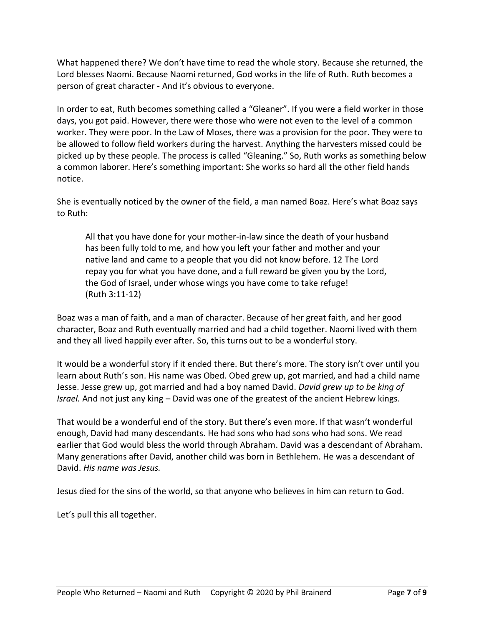What happened there? We don't have time to read the whole story. Because she returned, the Lord blesses Naomi. Because Naomi returned, God works in the life of Ruth. Ruth becomes a person of great character - And it's obvious to everyone.

In order to eat, Ruth becomes something called a "Gleaner". If you were a field worker in those days, you got paid. However, there were those who were not even to the level of a common worker. They were poor. In the Law of Moses, there was a provision for the poor. They were to be allowed to follow field workers during the harvest. Anything the harvesters missed could be picked up by these people. The process is called "Gleaning." So, Ruth works as something below a common laborer. Here's something important: She works so hard all the other field hands notice.

She is eventually noticed by the owner of the field, a man named Boaz. Here's what Boaz says to Ruth:

All that you have done for your mother-in-law since the death of your husband has been fully told to me, and how you left your father and mother and your native land and came to a people that you did not know before. 12 The Lord repay you for what you have done, and a full reward be given you by the Lord, the God of Israel, under whose wings you have come to take refuge! (Ruth 3:11-12)

Boaz was a man of faith, and a man of character. Because of her great faith, and her good character, Boaz and Ruth eventually married and had a child together. Naomi lived with them and they all lived happily ever after. So, this turns out to be a wonderful story.

It would be a wonderful story if it ended there. But there's more. The story isn't over until you learn about Ruth's son. His name was Obed. Obed grew up, got married, and had a child name Jesse. Jesse grew up, got married and had a boy named David. *David grew up to be king of Israel.* And not just any king – David was one of the greatest of the ancient Hebrew kings.

That would be a wonderful end of the story. But there's even more. If that wasn't wonderful enough, David had many descendants. He had sons who had sons who had sons. We read earlier that God would bless the world through Abraham. David was a descendant of Abraham. Many generations after David, another child was born in Bethlehem. He was a descendant of David. *His name was Jesus.*

Jesus died for the sins of the world, so that anyone who believes in him can return to God.

Let's pull this all together.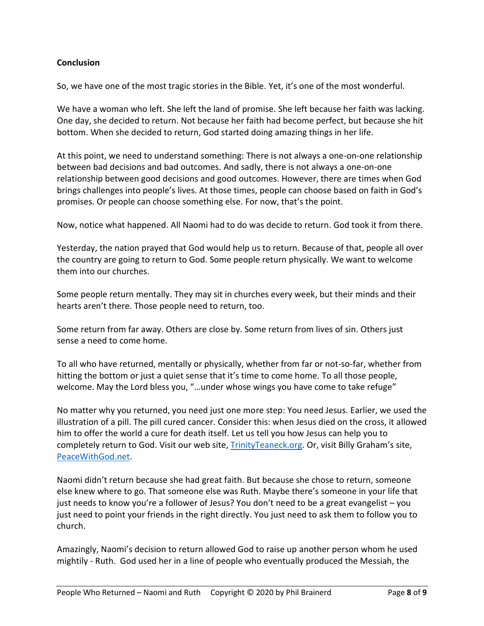## **Conclusion**

So, we have one of the most tragic stories in the Bible. Yet, it's one of the most wonderful.

We have a woman who left. She left the land of promise. She left because her faith was lacking. One day, she decided to return. Not because her faith had become perfect, but because she hit bottom. When she decided to return, God started doing amazing things in her life.

At this point, we need to understand something: There is not always a one-on-one relationship between bad decisions and bad outcomes. And sadly, there is not always a one-on-one relationship between good decisions and good outcomes. However, there are times when God brings challenges into people's lives. At those times, people can choose based on faith in God's promises. Or people can choose something else. For now, that's the point.

Now, notice what happened. All Naomi had to do was decide to return. God took it from there.

Yesterday, the nation prayed that God would help us to return. Because of that, people all over the country are going to return to God. Some people return physically. We want to welcome them into our churches.

Some people return mentally. They may sit in churches every week, but their minds and their hearts aren't there. Those people need to return, too.

Some return from far away. Others are close by. Some return from lives of sin. Others just sense a need to come home.

To all who have returned, mentally or physically, whether from far or not-so-far, whether from hitting the bottom or just a quiet sense that it's time to come home. To all those people, welcome. May the Lord bless you, "…under whose wings you have come to take refuge"

No matter why you returned, you need just one more step: You need Jesus. Earlier, we used the illustration of a pill. The pill cured cancer. Consider this: when Jesus died on the cross, it allowed him to offer the world a cure for death itself. Let us tell you how Jesus can help you to completely return to God. Visit our web site[, TrinityTeaneck.org.](https://trinityteaneck.org/) Or, visit Billy Graham's site, [PeaceWithGod.net.](https://peacewithgod.net/)

Naomi didn't return because she had great faith. But because she chose to return, someone else knew where to go. That someone else was Ruth. Maybe there's someone in your life that just needs to know you're a follower of Jesus? You don't need to be a great evangelist – you just need to point your friends in the right directly. You just need to ask them to follow you to church.

Amazingly, Naomi's decision to return allowed God to raise up another person whom he used mightily - Ruth. God used her in a line of people who eventually produced the Messiah, the